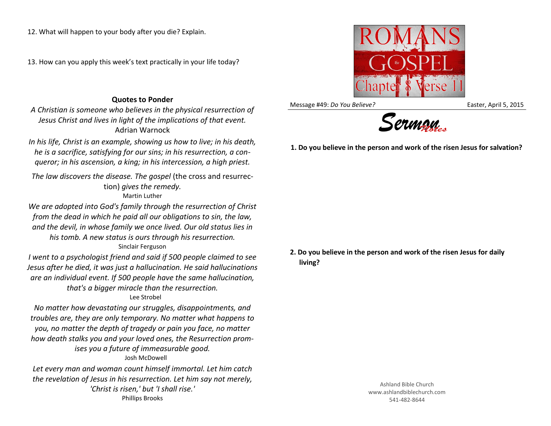12. What will happen to your body after you die? Explain.

13. How can you apply this week's text practically in your life today?

## **Quotes to Ponder**

*A Christian is someone who believes in the physical resurrection of Jesus Christ and lives in light of the implications of that event.* Adrian Warnock

*In his life, Christ is an example, showing us how to live; in his death, he is a sacrifice, satisfying for our sins; in his resurrection, a conqueror; in his ascension, a king; in his intercession, a high priest.*

*The law discovers the disease. The gospel* (the cross and resurrection) *gives the remedy.* Martin Luther

*We are adopted into God's family through the resurrection of Christ from the dead in which he paid all our obligations to sin, the law, and the devil, in whose family we once lived. Our old status lies in his tomb. A new status is ours through his resurrection.* Sinclair Ferguson

*I went to a psychologist friend and said if 500 people claimed to see Jesus after he died, it was just a hallucination. He said hallucinations are an individual event. If 500 people have the same hallucination, that's a bigger miracle than the resurrection.*

## Lee Strobel

*No matter how devastating our struggles, disappointments, and troubles are, they are only temporary. No matter what happens to you, no matter the depth of tragedy or pain you face, no matter how death stalks you and your loved ones, the Resurrection promises you a future of immeasurable good.*

## Josh McDowell

*Let every man and woman count himself immortal. Let him catch the revelation of Jesus in his resurrection. Let him say not merely, 'Christ is risen,' but 'I shall rise.'* Phillips Brooks



Message #49: *Do You Believe?* The Message #49: *Do You Believe?* The Message #49: *Do You Believe?* 



**1. Do you believe in the person and work of the risen Jesus for salvation?**

**2. Do you believe in the person and work of the risen Jesus for daily living?**

> Ashland Bible Church www.ashlandbiblechurch.com 541-482-8644